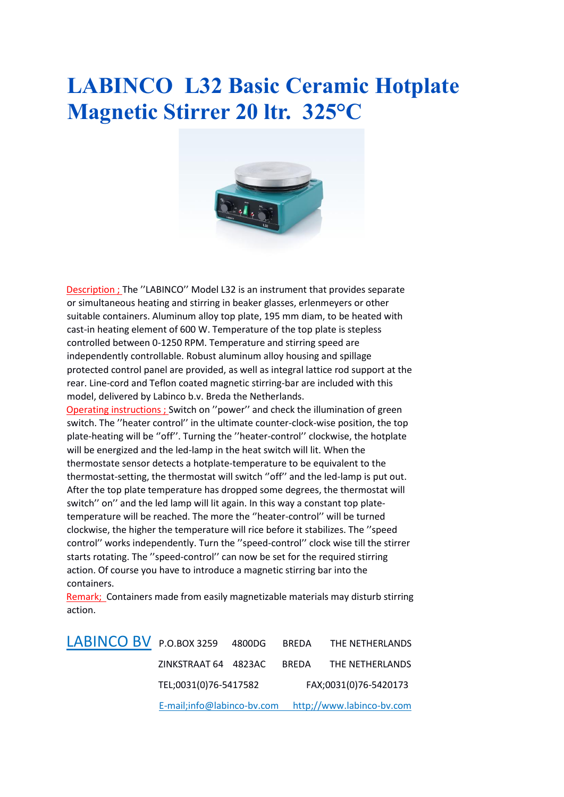## **LABINCO L32 Basic Ceramic Hotplate Magnetic Stirrer 20 ltr. 325°C**



Description ; The ''LABINCO'' Model L32 is an instrument that provides separate or simultaneous heating and stirring in beaker glasses, erlenmeyers or other suitable containers. Aluminum alloy top plate, 195 mm diam, to be heated with cast-in heating element of 600 W. Temperature of the top plate is stepless controlled between 0-1250 RPM. Temperature and stirring speed are independently controllable. Robust aluminum alloy housing and spillage protected control panel are provided, as well as integral lattice rod support at the rear. Line-cord and Teflon coated magnetic stirring-bar are included with this model, delivered by Labinco b.v. Breda the Netherlands. Operating instructions ; Switch on ''power'' and check the illumination of green switch. The ''heater control'' in the ultimate counter-clock-wise position, the top plate-heating will be ''off''. Turning the ''heater-control'' clockwise, the hotplate will be energized and the led-lamp in the heat switch will lit. When the thermostate sensor detects a hotplate-temperature to be equivalent to the thermostat-setting, the thermostat will switch ''off'' and the led-lamp is put out. After the top plate temperature has dropped some degrees, the thermostat will switch'' on'' and the led lamp will lit again. In this way a constant top platetemperature will be reached. The more the ''heater-control'' will be turned clockwise, the higher the temperature will rice before it stabilizes. The ''speed control'' works independently. Turn the ''speed-control'' clock wise till the stirrer starts rotating. The ''speed-control'' can now be set for the required stirring action. Of course you have to introduce a magnetic stirring bar into the containers.

Remark; Containers made from easily magnetizable materials may disturb stirring action.

LABINCO BV P.O.BOX 3259 4800DG BREDA THE NETHERLANDS ZINKSTRAAT 64 4823AC BREDA THE NETHERLANDS TEL;0031(0)76-5417582 FAX;0031(0)76-5420173 E-mail;info@labinco-bv.com http;//www.labinco-bv.com